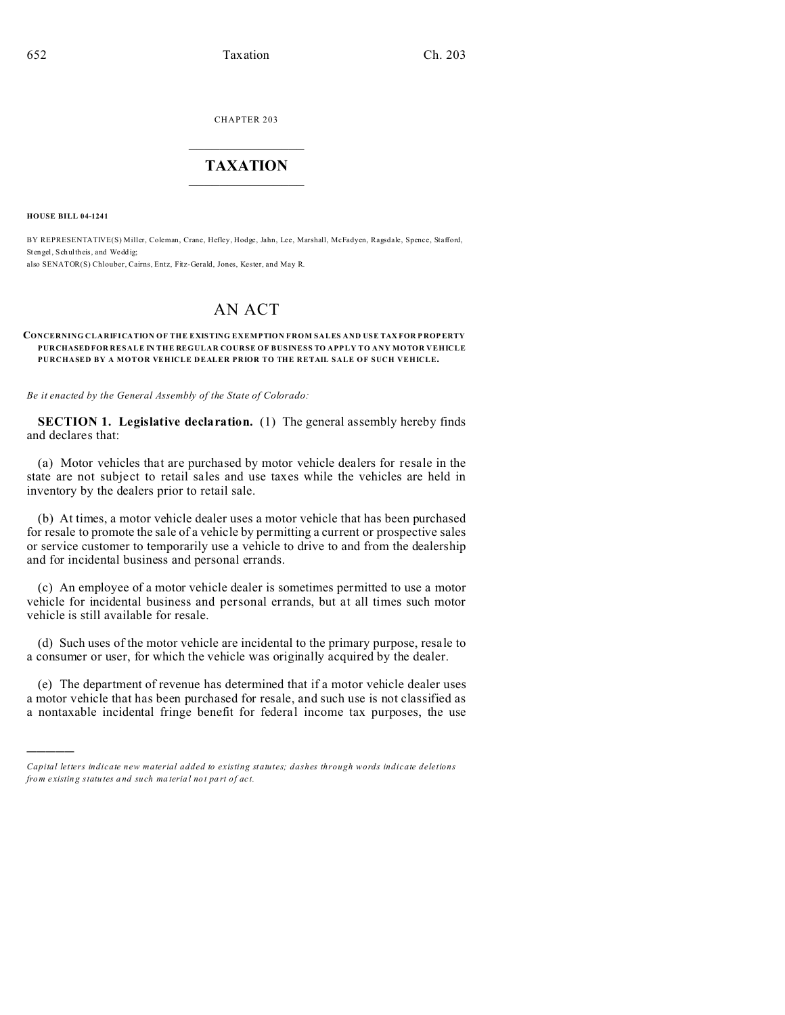CHAPTER 203  $\overline{\phantom{a}}$  , where  $\overline{\phantom{a}}$ 

## **TAXATION**  $\_$

**HOUSE BILL 04-1241**

)))))

BY REPRESENTATIVE(S) Miller, Coleman, Crane, Hefley, Hodge, Jahn, Lee, Marshall, McFadyen, Ragsdale, Spence, Stafford, Stengel, Schultheis, and Wedd ig: also SENATOR(S) Chlouber, Cairns, Entz, Fitz-Gerald, Jones, Kester, and May R.

## AN ACT

## **CONCERNING CLARIFICATION OF THE EXISTING EXEMPTION FROM SALES AND USE TAX FOR P ROP ERTY PURCHASEDFOR RESALE IN THE REGULAR COURSE OF BUSINESS TO APPLY TO ANY MOTOR VEHICLE PURCHASED BY A MOTOR VEHICLE DEALER PRIOR TO THE RETAIL SALE OF SUCH VEHICLE.**

*Be it enacted by the General Assembly of the State of Colorado:*

**SECTION 1. Legislative declaration.** (1) The general assembly hereby finds and declares that:

(a) Motor vehicles that are purchased by motor vehicle dealers for resale in the state are not subject to retail sales and use taxes while the vehicles are held in inventory by the dealers prior to retail sale.

(b) At times, a motor vehicle dealer uses a motor vehicle that has been purchased for resale to promote the sale of a vehicle by permitting a current or prospective sales or service customer to temporarily use a vehicle to drive to and from the dealership and for incidental business and personal errands.

(c) An employee of a motor vehicle dealer is sometimes permitted to use a motor vehicle for incidental business and personal errands, but at all times such motor vehicle is still available for resale.

(d) Such uses of the motor vehicle are incidental to the primary purpose, resale to a consumer or user, for which the vehicle was originally acquired by the dealer.

(e) The department of revenue has determined that if a motor vehicle dealer uses a motor vehicle that has been purchased for resale, and such use is not classified as a nontaxable incidental fringe benefit for federal income tax purposes, the use

*Capital letters indicate new material added to existing statutes; dashes through words indicate deletions from e xistin g statu tes a nd such ma teria l no t pa rt of ac t.*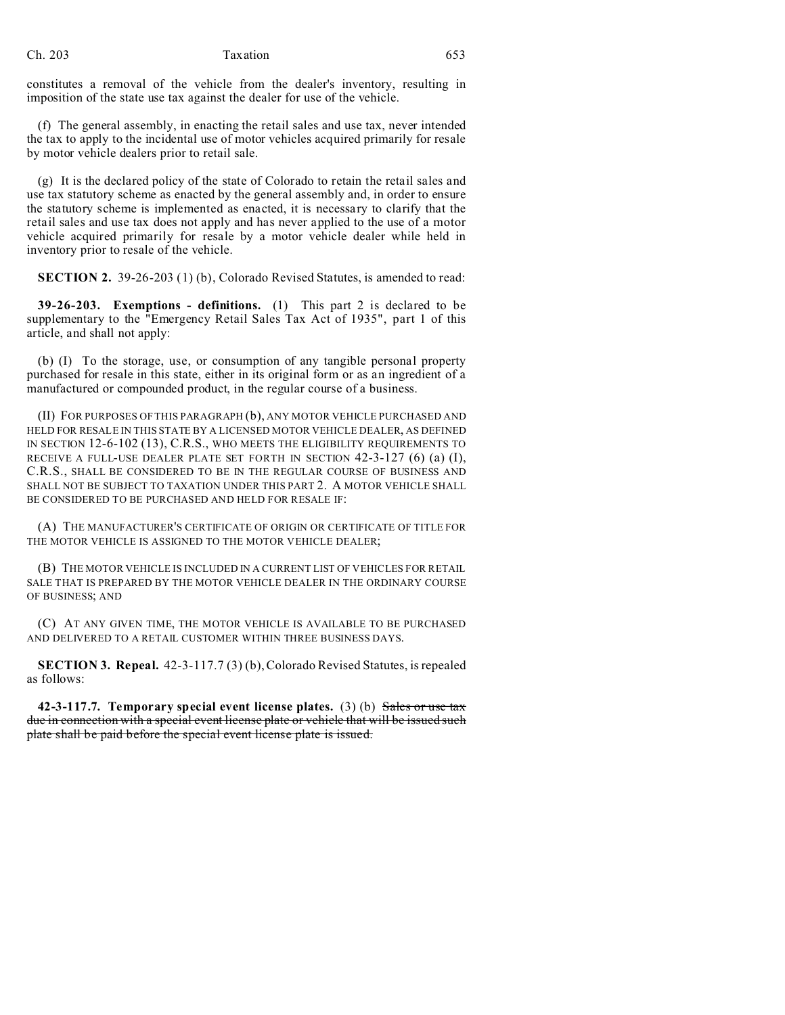constitutes a removal of the vehicle from the dealer's inventory, resulting in imposition of the state use tax against the dealer for use of the vehicle.

(f) The general assembly, in enacting the retail sales and use tax, never intended the tax to apply to the incidental use of motor vehicles acquired primarily for resale by motor vehicle dealers prior to retail sale.

(g) It is the declared policy of the state of Colorado to retain the retail sales and use tax statutory scheme as enacted by the general assembly and, in order to ensure the statutory scheme is implemented as enacted, it is necessary to clarify that the retail sales and use tax does not apply and has never applied to the use of a motor vehicle acquired primarily for resale by a motor vehicle dealer while held in inventory prior to resale of the vehicle.

**SECTION 2.** 39-26-203 (1) (b), Colorado Revised Statutes, is amended to read:

**39-26-203. Exemptions - definitions.** (1) This part 2 is declared to be supplementary to the "Emergency Retail Sales Tax Act of 1935", part 1 of this article, and shall not apply:

(b) (I) To the storage, use, or consumption of any tangible personal property purchased for resale in this state, either in its original form or as an ingredient of a manufactured or compounded product, in the regular course of a business.

(II) FOR PURPOSES OF THIS PARAGRAPH (b), ANY MOTOR VEHICLE PURCHASED AND HELD FOR RESALE IN THIS STATE BY A LICENSED MOTOR VEHICLE DEALER, AS DEFINED IN SECTION 12-6-102 (13), C.R.S., WHO MEETS THE ELIGIBILITY REQUIREMENTS TO RECEIVE A FULL-USE DEALER PLATE SET FORTH IN SECTION 42-3-127 (6) (a) (I), C.R.S., SHALL BE CONSIDERED TO BE IN THE REGULAR COURSE OF BUSINESS AND SHALL NOT BE SUBJECT TO TAXATION UNDER THIS PART 2. A MOTOR VEHICLE SHALL BE CONSIDERED TO BE PURCHASED AND HELD FOR RESALE IF:

(A) THE MANUFACTURER'S CERTIFICATE OF ORIGIN OR CERTIFICATE OF TITLE FOR THE MOTOR VEHICLE IS ASSIGNED TO THE MOTOR VEHICLE DEALER;

(B) THE MOTOR VEHICLE IS INCLUDED IN A CURRENT LIST OF VEHICLES FOR RETAIL SALE THAT IS PREPARED BY THE MOTOR VEHICLE DEALER IN THE ORDINARY COURSE OF BUSINESS; AND

(C) AT ANY GIVEN TIME, THE MOTOR VEHICLE IS AVAILABLE TO BE PURCHASED AND DELIVERED TO A RETAIL CUSTOMER WITHIN THREE BUSINESS DAYS.

**SECTION 3. Repeal.** 42-3-117.7 (3) (b), Colorado Revised Statutes, is repealed as follows:

**42-3-117.7. Temporary special event license plates.** (3) (b) Sales or use tax due in connection with a special event license plate or vehicle that will be issued such plate shall be paid before the special event license plate is issued.